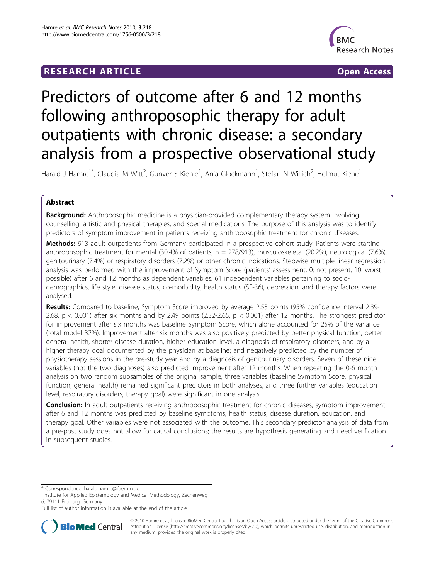## **RESEARCH ARTICLE EXECUTE: CONSIDERING ACCESS**



# Predictors of outcome after 6 and 12 months following anthroposophic therapy for adult outpatients with chronic disease: a secondary analysis from a prospective observational study

Harald J Hamre<sup>1\*</sup>, Claudia M Witt<sup>2</sup>, Gunver S Kienle<sup>1</sup>, Anja Glockmann<sup>1</sup>, Stefan N Willich<sup>2</sup>, Helmut Kiene<sup>1</sup>

## Abstract

**Background:** Anthroposophic medicine is a physician-provided complementary therapy system involving counselling, artistic and physical therapies, and special medications. The purpose of this analysis was to identify predictors of symptom improvement in patients receiving anthroposophic treatment for chronic diseases.

Methods: 913 adult outpatients from Germany participated in a prospective cohort study. Patients were starting anthroposophic treatment for mental (30.4% of patients, n = 278/913), musculoskeletal (20.2%), neurological (7.6%), genitourinary (7.4%) or respiratory disorders (7.2%) or other chronic indications. Stepwise multiple linear regression analysis was performed with the improvement of Symptom Score (patients' assessment, 0: not present, 10: worst possible) after 6 and 12 months as dependent variables. 61 independent variables pertaining to sociodemographics, life style, disease status, co-morbidity, health status (SF-36), depression, and therapy factors were analysed.

Results: Compared to baseline, Symptom Score improved by average 2.53 points (95% confidence interval 2.39-2.68,  $p < 0.001$ ) after six months and by 2.49 points (2.32-2.65,  $p < 0.001$ ) after 12 months. The strongest predictor for improvement after six months was baseline Symptom Score, which alone accounted for 25% of the variance (total model 32%). Improvement after six months was also positively predicted by better physical function, better general health, shorter disease duration, higher education level, a diagnosis of respiratory disorders, and by a higher therapy goal documented by the physician at baseline; and negatively predicted by the number of physiotherapy sessions in the pre-study year and by a diagnosis of genitourinary disorders. Seven of these nine variables (not the two diagnoses) also predicted improvement after 12 months. When repeating the 0-6 month analysis on two random subsamples of the original sample, three variables (baseline Symptom Score, physical function, general health) remained significant predictors in both analyses, and three further variables (education level, respiratory disorders, therapy goal) were significant in one analysis.

**Conclusion:** In adult outpatients receiving anthroposophic treatment for chronic diseases, symptom improvement after 6 and 12 months was predicted by baseline symptoms, health status, disease duration, education, and therapy goal. Other variables were not associated with the outcome. This secondary predictor analysis of data from a pre-post study does not allow for causal conclusions; the results are hypothesis generating and need verification in subsequent studies.

\* Correspondence: [harald.hamre@ifaemm.de](mailto:harald.hamre@ifaemm.de)

<sup>1</sup>Institute for Applied Epistemology and Medical Methodology, Zechenweg 6, 79111 Freiburg, Germany

Full list of author information is available at the end of the article



© 2010 Hamre et al; licensee BioMed Central Ltd. This is an Open Access article distributed under the terms of the Creative Commons Attribution License [\(http://creativecommons.org/licenses/by/2.0](http://creativecommons.org/licenses/by/2.0)), which permits unrestricted use, distribution, and reproduction in any medium, provided the original work is properly cited.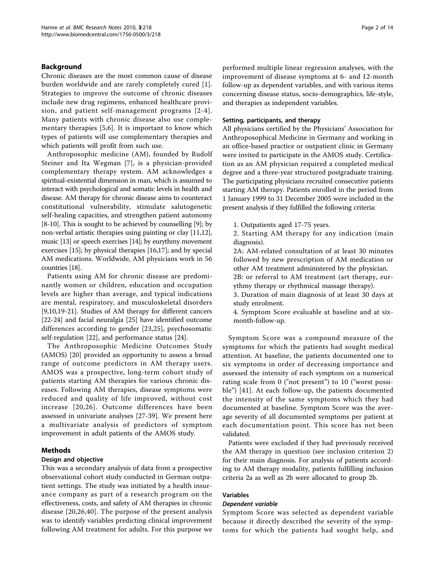## Background

Chronic diseases are the most common cause of disease burden worldwide and are rarely completely cured [[1](#page-12-0)]. Strategies to improve the outcome of chronic diseases include new drug regimens, enhanced healthcare provision, and patient self-management programs [[2](#page-12-0)-[4\]](#page-12-0). Many patients with chronic disease also use complementary therapies [[5,6](#page-12-0)]. It is important to know which types of patients will use complementary therapies and which patients will profit from such use.

Anthroposophic medicine (AM), founded by Rudolf Steiner and Ita Wegman [[7\]](#page-12-0), is a physician-provided complementary therapy system. AM acknowledges a spiritual-existential dimension in man, which is assumed to interact with psychological and somatic levels in health and disease. AM therapy for chronic disease aims to counteract constitutional vulnerability, stimulate salutogenetic self-healing capacities, and strengthen patient autonomy [[8-10\]](#page-12-0). This is sought to be achieved by counselling [\[9](#page-12-0)]; by non-verbal artistic therapies using painting or clay [[11,12](#page-12-0)], music [\[13\]](#page-12-0) or speech exercises [\[14\]](#page-12-0); by eurythmy movement exercises [\[15\]](#page-12-0); by physical therapies [[16,17](#page-12-0)]; and by special AM medications. Worldwide, AM physicians work in 56 countries [\[18\]](#page-12-0).

Patients using AM for chronic disease are predominantly women or children, education and occupation levels are higher than average, and typical indications are mental, respiratory, and musculoskeletal disorders [[9,10,19-21\]](#page-12-0). Studies of AM therapy for different cancers [[22-24\]](#page-12-0) and facial neuralgia [[25](#page-12-0)] have identified outcome differences according to gender [[23,25](#page-12-0)], psychosomatic self-regulation [\[22\]](#page-12-0), and performance status [\[24](#page-12-0)].

The Anthroposophic Medicine Outcomes Study (AMOS) [[20](#page-12-0)] provided an opportunity to assess a broad range of outcome predictors in AM therapy users. AMOS was a prospective, long-term cohort study of patients starting AM therapies for various chronic diseases. Following AM therapies, disease symptoms were reduced and quality of life improved, without cost increase [[20](#page-12-0),[26](#page-12-0)]. Outcome differences have been assessed in univariate analyses [\[27](#page-12-0)-[39\]](#page-12-0). We present here a multivariate analysis of predictors of symptom improvement in adult patients of the AMOS study.

## Methods

## Design and objective

This was a secondary analysis of data from a prospective observational cohort study conducted in German outpatient settings. The study was initiated by a health insurance company as part of a research program on the effectiveness, costs, and safety of AM therapies in chronic disease [\[20,26](#page-12-0),[40\]](#page-12-0). The purpose of the present analysis was to identify variables predicting clinical improvement following AM treatment for adults. For this purpose we performed multiple linear regression analyses, with the improvement of disease symptoms at 6- and 12-month follow-up as dependent variables, and with various items concerning disease status, socio-demographics, life-style, and therapies as independent variables.

#### Setting, participants, and therapy

All physicians certified by the Physicians' Association for Anthroposophical Medicine in Germany and working in an office-based practice or outpatient clinic in Germany were invited to participate in the AMOS study. Certification as an AM physician required a completed medical degree and a three-year structured postgraduate training. The participating physicians recruited consecutive patients starting AM therapy. Patients enrolled in the period from 1 January 1999 to 31 December 2005 were included in the present analysis if they fulfilled the following criteria:

1. Outpatients aged 17-75 years.

2. Starting AM therapy for any indication (main diagnosis).

2A: AM-related consultation of at least 30 minutes followed by new prescription of AM medication or other AM treatment administered by the physician.

2B: or referral to AM treatment (art therapy, eurythmy therapy or rhythmical massage therapy).

3. Duration of main diagnosis of at least 30 days at study enrolment.

4. Symptom Score evaluable at baseline and at sixmonth-follow-up.

Symptom Score was a compound measure of the symptoms for which the patients had sought medical attention. At baseline, the patients documented one to six symptoms in order of decreasing importance and assessed the intensity of each symptom on a numerical rating scale from 0 ("not present") to 10 ("worst possible") [[41](#page-12-0)]. At each follow-up, the patients documented the intensity of the same symptoms which they had documented at baseline. Symptom Score was the average severity of all documented symptoms per patient at each documentation point. This score has not been validated.

Patients were excluded if they had previously received the AM therapy in question (see inclusion criterion 2) for their main diagnosis. For analysis of patients according to AM therapy modality, patients fulfilling inclusion criteria 2a as well as 2b were allocated to group 2b.

## Variables

#### Dependent variable

Symptom Score was selected as dependent variable because it directly described the severity of the symptoms for which the patients had sought help, and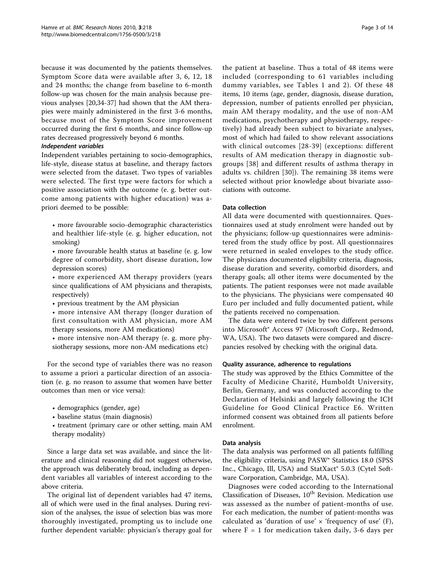because it was documented by the patients themselves. Symptom Score data were available after 3, 6, 12, 18 and 24 months; the change from baseline to 6-month follow-up was chosen for the main analysis because previous analyses [\[20,34-37](#page-12-0)] had shown that the AM therapies were mainly administered in the first 3-6 months, because most of the Symptom Score improvement occurred during the first 6 months, and since follow-up rates decreased progressively beyond 6 months.

## Independent variables

Independent variables pertaining to socio-demographics, life-style, disease status at baseline, and therapy factors were selected from the dataset. Two types of variables were selected. The first type were factors for which a positive association with the outcome (e. g. better outcome among patients with higher education) was apriori deemed to be possible:

- more favourable socio-demographic characteristics and healthier life-style (e. g. higher education, not smoking)
- more favourable health status at baseline (e. g. low degree of comorbidity, short disease duration, low depression scores)
- more experienced AM therapy providers (years since qualifications of AM physicians and therapists, respectively)
- previous treatment by the AM physician
- more intensive AM therapy (longer duration of first consultation with AM physician, more AM therapy sessions, more AM medications)
- more intensive non-AM therapy (e. g. more physiotherapy sessions, more non-AM medications etc)

For the second type of variables there was no reason to assume a priori a particular direction of an association (e. g. no reason to assume that women have better outcomes than men or vice versa):

- demographics (gender, age)
- baseline status (main diagnosis)
- treatment (primary care or other setting, main AM therapy modality)

Since a large data set was available, and since the literature and clinical reasoning did not suggest otherwise, the approach was deliberately broad, including as dependent variables all variables of interest according to the above criteria.

The original list of dependent variables had 47 items, all of which were used in the final analyses. During revision of the analyses, the issue of selection bias was more thoroughly investigated, prompting us to include one further dependent variable: physician's therapy goal for the patient at baseline. Thus a total of 48 items were included (corresponding to 61 variables including dummy variables, see Tables [1](#page-3-0) and [2](#page-4-0)). Of these 48 items, 10 items (age, gender, diagnosis, disease duration, depression, number of patients enrolled per physician, main AM therapy modality, and the use of non-AM medications, psychotherapy and physiotherapy, respectively) had already been subject to bivariate analyses, most of which had failed to show relevant associations with clinical outcomes [\[28](#page-12-0)-[39](#page-12-0)] (exceptions: different results of AM medication therapy in diagnostic subgroups [[38\]](#page-12-0) and different results of asthma therapy in adults vs. children [[30\]](#page-12-0)). The remaining 38 items were selected without prior knowledge about bivariate associations with outcome.

#### Data collection

All data were documented with questionnaires. Questionnaires used at study enrolment were handed out by the physicians; follow-up questionnaires were administered from the study office by post. All questionnaires were returned in sealed envelopes to the study office. The physicians documented eligibility criteria, diagnosis, disease duration and severity, comorbid disorders, and therapy goals; all other items were documented by the patients. The patient responses were not made available to the physicians. The physicians were compensated 40 Euro per included and fully documented patient, while the patients received no compensation.

The data were entered twice by two different persons into Microsoft® Access 97 (Microsoft Corp., Redmond, WA, USA). The two datasets were compared and discrepancies resolved by checking with the original data.

#### Quality assurance, adherence to regulations

The study was approved by the Ethics Committee of the Faculty of Medicine Charité, Humboldt University, Berlin, Germany, and was conducted according to the Declaration of Helsinki and largely following the ICH Guideline for Good Clinical Practice E6. Written informed consent was obtained from all patients before enrolment.

#### Data analysis

The data analysis was performed on all patients fulfilling the eligibility criteria, using PASW® Statistics 18.0 (SPSS Inc., Chicago, Ill, USA) and StatXact<sup>®</sup> 5.0.3 (Cytel Software Corporation, Cambridge, MA, USA).

Diagnoses were coded according to the International Classification of Diseases,  $10<sup>th</sup>$  Revision. Medication use was assessed as the number of patient-months of use. For each medication, the number of patient-months was calculated as 'duration of use'  $\times$  'frequency of use' (F), where  $F = 1$  for medication taken daily, 3-6 days per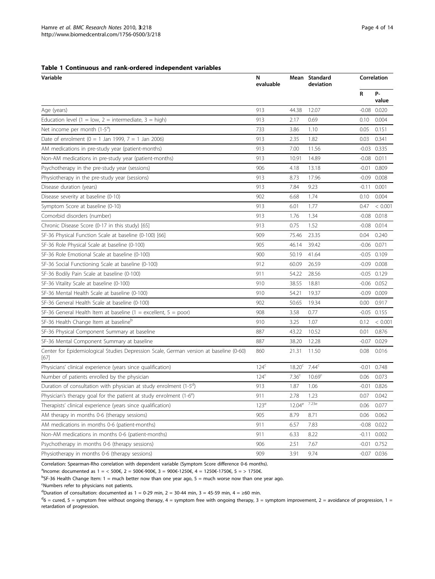#### <span id="page-3-0"></span>Table 1 Continuous and rank-ordered independent variables

| Variable                                                                                       | N<br>evaluable   |                    | Mean Standard<br>deviation | Correlation |                    |  |
|------------------------------------------------------------------------------------------------|------------------|--------------------|----------------------------|-------------|--------------------|--|
|                                                                                                |                  |                    |                            | R           | <b>P-</b><br>value |  |
| Age (years)                                                                                    | 913              | 44.38              | 12.07                      | $-0.08$     | 0.020              |  |
| Education level (1 = low, 2 = intermediate, 3 = high)                                          | 913              | 2.17               | 0.69                       | 0.10        | 0.004              |  |
| Net income per month (1-5 <sup>d</sup> )                                                       | 733              | 3.86               | 1.10                       | 0.05        | 0.151              |  |
| Date of enrolment (0 = 1 Jan 1999, 7 = 1 Jan 2006)                                             | 913              | 2.35               | 1.82                       | 0.03        | 0.341              |  |
| AM medications in pre-study year (patient-months)                                              | 913              | 7.00               | 11.56                      |             | $-0.03$ $0.335$    |  |
| Non-AM medications in pre-study year (patient-months)                                          | 913              | 10.91              | 14.89                      |             | $-0.08$ 0.011      |  |
| Psychotherapy in the pre-study year (sessions)                                                 | 906              | 4.18               | 13.18                      | $-0.01$     | 0.809              |  |
| Physiotherapy in the pre-study year (sessions)                                                 | 913              | 8.73               | 17.96                      |             | $-0.09$ $0.008$    |  |
| Disease duration (years)                                                                       | 913              | 7.84               | 9.23                       | $-0.11$     | 0.001              |  |
| Disease severity at baseline (0-10)                                                            | 902              | 6.68               | 1.74                       | 0.10        | 0.004              |  |
| Symptom Score at baseline (0-10)                                                               | 913              | 6.01               | 1.77                       | 0.47        | < 0.001            |  |
| Comorbid disorders (number)                                                                    | 913              | 1.76               | 1.34                       |             | $-0.08$ 0.018      |  |
| Chronic Disease Score (0-17 in this study) [65]                                                | 913              | 0.75               | 1.52                       |             | $-0.08$ $0.014$    |  |
| SF-36 Physical Function Scale at baseline (0-100) [66]                                         | 909              | 75.46              | 23.35                      | 0.04        | 0.240              |  |
| SF-36 Role Physical Scale at baseline (0-100)                                                  | 905              | 46.14              | 39.42                      |             | $-0.06$ $0.071$    |  |
| SF-36 Role Emotional Scale at baseline (0-100)                                                 | 900              | 50.19              | 41.64                      |             | $-0.05$ $0.109$    |  |
| SF-36 Social Functioning Scale at baseline (0-100)                                             | 912              | 60.09              | 26.59                      |             | $-0.09$ $0.008$    |  |
| SF-36 Bodily Pain Scale at baseline (0-100)                                                    | 911              | 54.22              | 28.56                      |             | $-0.05$ $0.129$    |  |
| SF-36 Vitality Scale at baseline (0-100)                                                       | 910              | 38.55              | 18.81                      |             | $-0.06$ $0.052$    |  |
| SF-36 Mental Health Scale at baseline (0-100)                                                  | 910              | 54.21              | 19.37                      |             | $-0.09$ $0.009$    |  |
| SF-36 General Health Scale at baseline (0-100)                                                 | 902              | 50.65              | 19.34                      | 0.00        | 0.917              |  |
| SF-36 General Health Item at baseline (1 = excellent, 5 = poor)                                | 908              | 3.58               | 0.77                       |             | $-0.05$ $0.155$    |  |
| SF-36 Health Change Item at baseline <sup>D</sup>                                              | 910              | 3.25               | 1.07                       | 0.12        | < 0.001            |  |
| SF-36 Physical Component Summary at baseline                                                   | 887              | 43.22              | 10.52                      | 0.01        | 0.876              |  |
| SF-36 Mental Component Summary at baseline                                                     | 887              | 38.20              | 12.28                      | $-0.07$     | 0.029              |  |
| Center for Epidemiological Studies Depression Scale, German version at baseline (0-60)<br>[67] | 860              | 21.31              | 11.50                      | 0.08        | 0.016              |  |
| Physicians' clinical experience (years since qualification)                                    | 124 <sup>c</sup> | 18.20 <sup>c</sup> | 7.44 <sup>c</sup>          |             | $-0.01$ 0.748      |  |
| Number of patients enrolled by the physician                                                   | $124^c$          | 7.36 <sup>c</sup>  | 10.69 <sup>c</sup>         | 0.06        | 0.073              |  |
| Duration of consultation with physician at study enrolment $(1-5^\circ)$                       | 913              | 1.87               | 1.06                       | -0.01       | 0.826              |  |
| Physician's therapy goal for the patient at study enrolment (1-6 <sup>e</sup> )                | 911              | 2.78               | 1.23                       | 0.07        | 0.042              |  |
| Therapists' clinical experience (years since qualification)                                    | 123 <sup>e</sup> | $12.04^e$          | 7.23e                      | 0.06        | 0.077              |  |
| AM therapy in months 0-6 (therapy sessions)                                                    | 905              | 8.79               | 8.71                       | 0.06        | 0.062              |  |
| AM medications in months 0-6 (patient-months)                                                  | 911              | 6.57               | 7.83                       | $-0.08$     | 0.022              |  |
| Non-AM medications in months 0-6 (patient-months)                                              | 911              | 6.33               | 8.22                       | $-0.11$     | 0.002              |  |
| Psychotherapy in months 0-6 (therapy sessions)                                                 | 906              | 2.51               | 7.67                       | $-0.01$     | 0.752              |  |
| Physiotherapy in months 0-6 (therapy sessions)                                                 | 909              | 3.91               | 9.74                       |             | $-0.07$ 0.036      |  |

Correlation: Spearman-Rho correlation with dependent variable (Symptom Score difference 0-6 months).

alncome: documented as 1 = < 500€, 2 = 500€-900€, 3 = 900€-1250€, 4 = 1250€-1750€, 5 = > 1750€

bSF-36 Health Change Item: 1 = much better now than one year ago, 5 = much worse now than one year ago.

<sup>c</sup>Numbers refer to physicians not patients.

<sup>d</sup>Duration of consultation: documented as 1 = 0-29 min, 2 = 30-44 min, 3 = 45-59 min, 4 = ≥60 min.

 $d_6$  = cured, 5 = symptom free without ongoing therapy, 4 = symptom free with ongoing therapy, 3 = symptom improvement, 2 = avoidance of progression, 1 = retardation of progression.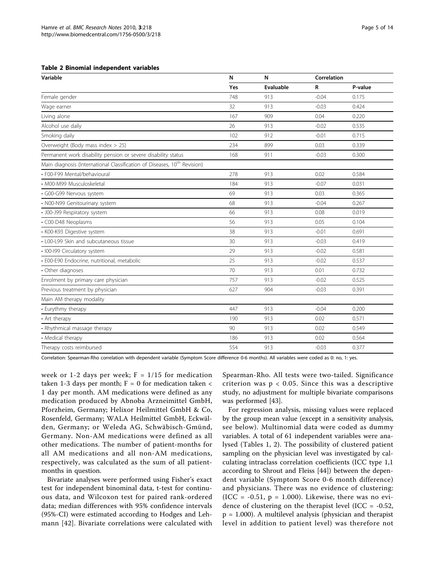<span id="page-4-0"></span>

|  |  |  | <b>Table 2 Binomial independent variables</b> |  |
|--|--|--|-----------------------------------------------|--|
|--|--|--|-----------------------------------------------|--|

| Variable                                                                             | N   | N         | Correlation |         |
|--------------------------------------------------------------------------------------|-----|-----------|-------------|---------|
|                                                                                      | Yes | Evaluable | R           | P-value |
| Female gender                                                                        | 748 | 913       | $-0.04$     | 0.175   |
| Wage earner                                                                          | 32  | 913       | $-0.03$     | 0.424   |
| Living alone                                                                         | 167 | 909       | 0.04        | 0.220   |
| Alcohol use daily                                                                    | 26  | 913       | $-0.02$     | 0.535   |
| Smoking daily                                                                        | 102 | 912       | $-0.01$     | 0.715   |
| Overweight (Body mass index > 25)                                                    | 234 | 899       | 0.03        | 0.339   |
| Permanent work disability pension or severe disability status                        | 168 | 911       | $-0.03$     | 0.300   |
| Main diagnosis (International Classification of Diseases, 10 <sup>th</sup> Revision) |     |           |             |         |
| · F00-F99 Mental/behavioural                                                         | 278 | 913       | 0.02        | 0.584   |
| • M00-M99 Musculoskeletal                                                            | 184 | 913       | $-0.07$     | 0.031   |
| · G00-G99 Nervous system                                                             | 69  | 913       | 0.03        | 0.365   |
| · N00-N99 Genitourinary system                                                       | 68  | 913       | $-0.04$     | 0.267   |
| · J00-J99 Respiratory system                                                         | 66  | 913       | 0.08        | 0.019   |
| · C00-D48 Neoplasms                                                                  | 56  | 913       | 0.05        | 0.104   |
| · K00-K93 Digestive system                                                           | 38  | 913       | $-0.01$     | 0.691   |
| • L00-L99 Skin and subcutaneous tissue                                               | 30  | 913       | $-0.03$     | 0.419   |
| · I00-I99 Circulatory system                                                         | 29  | 913       | $-0.02$     | 0.581   |
| · E00-E90 Endocrine, nutritional, metabolic                                          | 25  | 913       | $-0.02$     | 0.537   |
| • Other diagnoses                                                                    | 70  | 913       | 0.01        | 0.732   |
| Enrolment by primary care physician                                                  | 757 | 913       | $-0.02$     | 0.525   |
| Previous treatment by physician                                                      | 627 | 904       | $-0.03$     | 0.391   |
| Main AM therapy modality                                                             |     |           |             |         |
| • Eurythmy therapy                                                                   | 447 | 913       | $-0.04$     | 0.200   |
| • Art therapy                                                                        | 190 | 913       | 0.02        | 0.571   |
| • Rhythmical massage therapy                                                         | 90  | 913       | 0.02        | 0.549   |
| • Medical therapy                                                                    | 186 | 913       | 0.02        | 0.564   |
| Therapy costs reimbursed                                                             | 554 | 913       | $-0.03$     | 0.377   |

Correlation: Spearman-Rho correlation with dependent variable (Symptom Score difference 0-6 months). All variables were coded as 0: no, 1: yes.

week or 1-2 days per week;  $F = 1/15$  for medication taken 1-3 days per month;  $F = 0$  for medication taken  $\lt$ 1 day per month. AM medications were defined as any medication produced by Abnoba Arzneimittel GmbH, Pforzheim, Germany; Helixor Heilmittel GmbH & Co, Rosenfeld, Germany; WALA Heilmittel GmbH, Eckwälden, Germany; or Weleda AG, Schwäbisch-Gmünd, Germany. Non-AM medications were defined as all other medications. The number of patient-months for all AM medications and all non-AM medications, respectively, was calculated as the sum of all patientmonths in question.

Bivariate analyses were performed using Fisher's exact test for independent binominal data, t-test for continuous data, and Wilcoxon test for paired rank-ordered data; median differences with 95% confidence intervals (95%-CI) were estimated according to Hodges and Lehmann [[42\]](#page-12-0). Bivariate correlations were calculated with Spearman-Rho. All tests were two-tailed. Significance criterion was  $p < 0.05$ . Since this was a descriptive study, no adjustment for multiple bivariate comparisons was performed [[43\]](#page-12-0).

For regression analysis, missing values were replaced by the group mean value (except in a sensitivity analysis, see below). Multinomial data were coded as dummy variables. A total of 61 independent variables were analysed (Tables [1](#page-3-0), 2). The possibility of clustered patient sampling on the physician level was investigated by calculating intraclass correlation coefficients (ICC type 1,1 according to Shrout and Fleiss [[44](#page-12-0)]) between the dependent variable (Symptom Score 0-6 month difference) and physicians. There was no evidence of clustering: (ICC =  $-0.51$ , p = 1.000). Likewise, there was no evidence of clustering on the therapist level (ICC = -0.52,  $p = 1.000$ ). A multilevel analysis (physician and therapist level in addition to patient level) was therefore not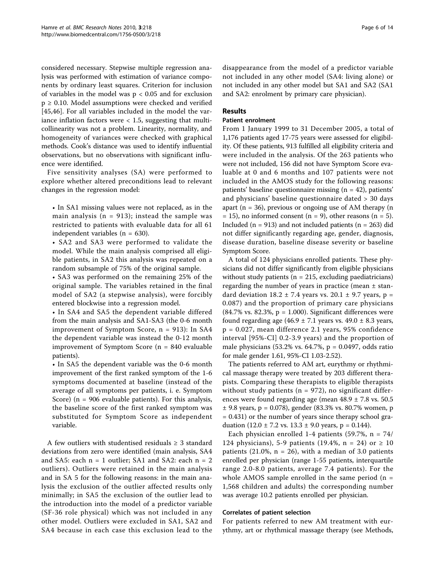considered necessary. Stepwise multiple regression analysis was performed with estimation of variance components by ordinary least squares. Criterion for inclusion of variables in the model was  $p < 0.05$  and for exclusion  $p \ge 0.10$ . Model assumptions were checked and verified [[45,46](#page-13-0)]. For all variables included in the model the variance inflation factors were  $< 1.5$ , suggesting that multicollinearity was not a problem. Linearity, normality, and homogeneity of variances were checked with graphical methods. Cook's distance was used to identify influential observations, but no observations with significant influence were identified.

Five sensitivity analyses (SA) were performed to explore whether altered preconditions lead to relevant changes in the regression model:

• In SA1 missing values were not replaced, as in the main analysis ( $n = 913$ ); instead the sample was restricted to patients with evaluable data for all 61 independent variables (n = 630).

• SA2 and SA3 were performed to validate the model. While the main analysis comprised all eligible patients, in SA2 this analysis was repeated on a random subsample of 75% of the original sample.

• SA3 was performed on the remaining 25% of the original sample. The variables retained in the final model of SA2 (a stepwise analysis), were forcibly entered blockwise into a regression model.

• In SA4 and SA5 the dependent variable differed from the main analysis and SA1-SA3 (the 0-6 month improvement of Symptom Score, n = 913): In SA4 the dependent variable was instead the 0-12 month improvement of Symptom Score (n = 840 evaluable patients).

• In SA5 the dependent variable was the 0-6 month improvement of the first ranked symptom of the 1-6 symptoms documented at baseline (instead of the average of all symptoms per patients, i. e. Symptom Score) ( $n = 906$  evaluable patients). For this analysis, the baseline score of the first ranked symptom was substituted for Symptom Score as independent variable.

A few outliers with studentised residuals ≥ 3 standard deviations from zero were identified (main analysis, SA4 and SA5: each  $n = 1$  outlier; SA1 and SA2: each  $n = 2$ outliers). Outliers were retained in the main analysis and in SA 5 for the following reasons: in the main analysis the exclusion of the outlier affected results only minimally; in SA5 the exclusion of the outlier lead to the introduction into the model of a predictor variable (SF-36 role physical) which was not included in any other model. Outliers were excluded in SA1, SA2 and SA4 because in each case this exclusion lead to the disappearance from the model of a predictor variable not included in any other model (SA4: living alone) or not included in any other model but SA1 and SA2 (SA1 and SA2: enrolment by primary care physician).

## Results

#### Patient enrolment

From 1 January 1999 to 31 December 2005, a total of 1,176 patients aged 17-75 years were assessed for eligibility. Of these patients, 913 fulfilled all eligibility criteria and were included in the analysis. Of the 263 patients who were not included, 156 did not have Symptom Score evaluable at 0 and 6 months and 107 patients were not included in the AMOS study for the following reasons: patients' baseline questionnaire missing  $(n = 42)$ , patients' and physicians' baseline questionnaire dated > 30 days apart ( $n = 36$ ), previous or ongoing use of AM therapy ( $n = 16$ )  $= 15$ ), no informed consent (n = 9), other reasons (n = 5). Included ( $n = 913$ ) and not included patients ( $n = 263$ ) did not differ significantly regarding age, gender, diagnosis, disease duration, baseline disease severity or baseline Symptom Score.

A total of 124 physicians enrolled patients. These physicians did not differ significantly from eligible physicians without study patients ( $n = 215$ , excluding paediatricians) regarding the number of years in practice (mean  $\pm$  standard deviation  $18.2 \pm 7.4$  years vs.  $20.1 \pm 9.7$  years, p = 0.087) and the proportion of primary care physicians  $(84.7\% \text{ vs. } 82.3\%, \text{ p} = 1.000)$ . Significant differences were found regarding age  $(46.9 \pm 7.1)$  years vs.  $49.0 \pm 8.3$  years, p = 0.027, mean difference 2.1 years, 95% confidence interval [95%-CI] 0.2-3.9 years) and the proportion of male physicians  $(53.2\% \text{ vs. } 64.7\% , p = 0.0497, \text{ odds ratio})$ for male gender 1.61, 95%-CI 1.03-2.52).

The patients referred to AM art, eurythmy or rhythmical massage therapy were treated by 203 different therapists. Comparing these therapists to eligible therapists without study patients ( $n = 972$ ), no significant differences were found regarding age (mean  $48.9 \pm 7.8$  vs. 50.5  $\pm$  9.8 years, p = 0.078), gender (83.3% vs. 80.7% women, p = 0.431) or the number of years since therapy school graduation  $(12.0 \pm 7.2 \text{ vs. } 13.3 \pm 9.0 \text{ years}, p = 0.144)$ .

Each physician enrolled 1-4 patients (59.7%,  $n = 74/$ 124 physicians), 5-9 patients (19.4%, n = 24) or  $\geq 10$ patients  $(21.0\% , n = 26)$ , with a median of 3.0 patients enrolled per physician (range 1-55 patients, interquartile range 2.0-8.0 patients, average 7.4 patients). For the whole AMOS sample enrolled in the same period  $(n =$ 1,568 children and adults) the corresponding number was average 10.2 patients enrolled per physician.

#### Correlates of patient selection

For patients referred to new AM treatment with eurythmy, art or rhythmical massage therapy (see Methods,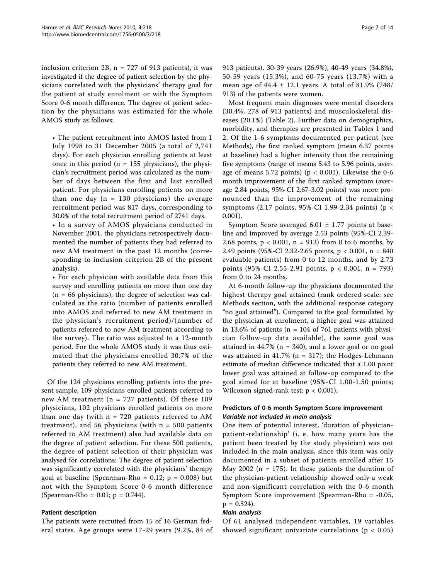inclusion criterion 2B,  $n = 727$  of 913 patients), it was investigated if the degree of patient selection by the physicians correlated with the physicians' therapy goal for the patient at study enrolment or with the Symptom Score 0-6 month difference. The degree of patient selection by the physicians was estimated for the whole AMOS study as follows:

• The patient recruitment into AMOS lasted from 1 July 1998 to 31 December 2005 (a total of 2,741 days). For each physician enrolling patients at least once in this period ( $n = 155$  physicians), the physician's recruitment period was calculated as the number of days between the first and last enrolled patient. For physicians enrolling patients on more than one day  $(n = 130$  physicians) the average recruitment period was 817 days, corresponding to 30.0% of the total recruitment period of 2741 days.

• In a survey of AMOS physicians conducted in November 2001, the physicians retrospectively documented the number of patients they had referred to new AM treatment in the past 12 months (corresponding to inclusion criterion 2B of the present analysis).

• For each physician with available data from this survey and enrolling patients on more than one day  $(n = 66$  physicians), the degree of selection was calculated as the ratio (number of patients enrolled into AMOS and referred to new AM treatment in the physician's recruitment period)/(number of patients referred to new AM treatment according to the survey). The ratio was adjusted to a 12-month period. For the whole AMOS study it was thus estimated that the physicians enrolled 30.7% of the patients they referred to new AM treatment.

Of the 124 physicians enrolling patients into the present sample, 109 physicians enrolled patients referred to new AM treatment ( $n = 727$  patients). Of these 109 physicians, 102 physicians enrolled patients on more than one day (with  $n = 720$  patients referred to AM treatment), and 56 physicians (with  $n = 500$  patients referred to AM treatment) also had available data on the degree of patient selection. For these 500 patients, the degree of patient selection of their physician was analysed for correlations: The degree of patient selection was significantly correlated with the physicians' therapy goal at baseline (Spearman-Rho =  $0.12$ ; p =  $0.008$ ) but not with the Symptom Score 0-6 month difference (Spearman-Rho =  $0.01$ ; p =  $0.744$ ).

## Patient description

The patients were recruited from 15 of 16 German federal states. Age groups were 17-29 years (9.2%, 84 of 913 patients), 30-39 years (26.9%), 40-49 years (34.8%), 50-59 years (15.3%), and 60-75 years (13.7%) with a mean age of 44.4 ± 12.1 years. A total of 81.9% (748/ 913) of the patients were women.

Most frequent main diagnoses were mental disorders (30.4%, 278 of 913 patients) and musculoskeletal diseases (20.1%) (Table [2](#page-4-0)). Further data on demographics, morbidity, and therapies are presented in Tables [1](#page-3-0) and [2.](#page-4-0) Of the 1-6 symptoms documented per patient (see Methods), the first ranked symptom (mean 6.37 points at baseline) had a higher intensity than the remaining five symptoms (range of means 5.43 to 5.96 points, average of means 5.72 points) ( $p < 0.001$ ). Likewise the 0-6 month improvement of the first ranked symptom (average 2.84 points, 95%-CI 2.67-3.02 points) was more pronounced than the improvement of the remaining symptoms (2.17 points, 95%-CI 1.99-2.34 points) (p < 0.001).

Symptom Score averaged  $6.01 \pm 1.77$  points at baseline and improved by average 2.53 points (95%-CI 2.39- 2.68 points,  $p < 0.001$ ,  $n = 913$ ) from 0 to 6 months, by 2.49 points (95%-CI 2.32-2.65 points, p < 0.001, n = 840 evaluable patients) from 0 to 12 months, and by 2.73 points (95%-CI 2.55-2.91 points, p < 0.001, n = 793) from 0 to 24 months.

At 6-month follow-up the physicians documented the highest therapy goal attained (rank ordered scale: see Methods section, with the additional response category "no goal attained"). Compared to the goal formulated by the physician at enrolment, a higher goal was attained in 13.6% of patients ( $n = 104$  of 761 patients with physician follow-up data available), the same goal was attained in  $44.7\%$  (n = 340), and a lower goal or no goal was attained in  $41.7\%$  (n = 317); the Hodges-Lehmann estimate of median difference indicated that a 1.00 point lower goal was attained at follow-up compared to the goal aimed for at baseline (95%-CI 1.00-1.50 points; Wilcoxon signed-rank test:  $p < 0.001$ ).

## Predictors of 0-6 month Symptom Score improvement Variable not included in main analysis

One item of potential interest, 'duration of physicianpatient-relationship' (i. e. how many years has the patient been treated by the study physician) was not included in the main analysis, since this item was only documented in a subset of patients enrolled after 15 May 2002 ( $n = 175$ ). In these patients the duration of the physician-patient-relationship showed only a weak and non-significant correlation with the 0-6 month Symptom Score improvement (Spearman-Rho = -0.05,  $p = 0.524$ .

## Main analysis

Of 61 analysed independent variables, 19 variables showed significant univariate correlations ( $p < 0.05$ )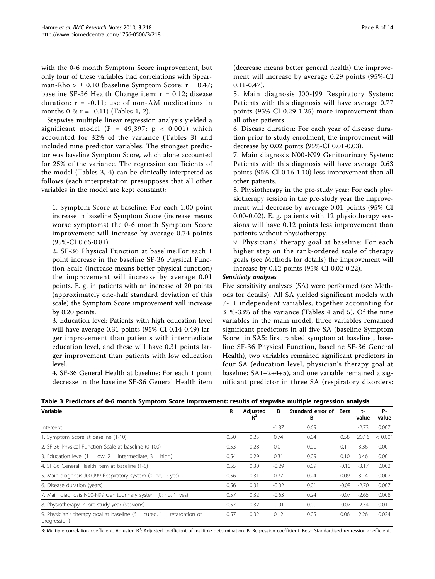with the 0-6 month Symptom Score improvement, but only four of these variables had correlations with Spearman-Rho  $> \pm 0.10$  (baseline Symptom Score:  $r = 0.47$ ; baseline SF-36 Health Change item:  $r = 0.12$ ; disease duration:  $r = -0.11$ ; use of non-AM medications in months 0-6:  $r = -0.11$ ) (Tables [1,](#page-3-0) [2](#page-4-0)).

Stepwise multiple linear regression analysis yielded a significant model (F =  $49,397$ ; p < 0.001) which accounted for 32% of the variance (Tables 3) and included nine predictor variables. The strongest predictor was baseline Symptom Score, which alone accounted for 25% of the variance. The regression coefficients of the model (Tables 3, [4](#page-8-0)) can be clinically interpreted as follows (each interpretation presupposes that all other variables in the model are kept constant):

1. Symptom Score at baseline: For each 1.00 point increase in baseline Symptom Score (increase means worse symptoms) the 0-6 month Symptom Score improvement will increase by average 0.74 points (95%-CI 0.66-0.81).

2. SF-36 Physical Function at baseline:For each 1 point increase in the baseline SF-36 Physical Function Scale (increase means better physical function) the improvement will increase by average 0.01 points. E. g. in patients with an increase of 20 points (approximately one-half standard deviation of this scale) the Symptom Score improvement will increase by 0.20 points.

3. Education level: Patients with high education level will have average 0.31 points (95%-CI 0.14-0.49) larger improvement than patients with intermediate education level, and these will have 0.31 points larger improvement than patients with low education level.

4. SF-36 General Health at baseline: For each 1 point decrease in the baseline SF-36 General Health item (decrease means better general health) the improvement will increase by average 0.29 points (95%-CI 0.11-0.47).

5. Main diagnosis J00-J99 Respiratory System: Patients with this diagnosis will have average 0.77 points (95%-CI 0.29-1.25) more improvement than all other patients.

6. Disease duration: For each year of disease duration prior to study enrolment, the improvement will decrease by 0.02 points (95%-CI 0.01-0.03).

7. Main diagnosis N00-N99 Genitourinary System: Patients with this diagnosis will have average 0.63 points (95%-CI 0.16-1.10) less improvement than all other patients.

8. Physiotherapy in the pre-study year: For each physiotherapy session in the pre-study year the improvement will decrease by average 0.01 points (95%-CI 0.00-0.02). E. g. patients with 12 physiotherapy sessions will have 0.12 points less improvement than patients without physiotherapy.

9. Physicians' therapy goal at baseline: For each higher step on the rank-ordered scale of therapy goals (see Methods for details) the improvement will increase by 0.12 points (95%-CI 0.02-0.22).

## Sensitivity analyses

Five sensitivity analyses (SA) were performed (see Methods for details). All SA yielded significant models with 7-11 independent variables, together accounting for 31%-33% of the variance (Tables [4](#page-8-0) and [5](#page-8-0)). Of the nine variables in the main model, three variables remained significant predictors in all five SA (baseline Symptom Score [in SA5: first ranked symptom at baseline], baseline SF-36 Physical Function, baseline SF-36 General Health), two variables remained significant predictors in four SA (education level, physician's therapy goal at baseline: SA1+2+4+5), and one variable remained a significant predictor in three SA (respiratory disorders:

Table 3 Predictors of 0-6 month Symptom Score improvement: results of stepwise multiple regression analysis

| Variable                                                                                          | R    | Adjusted<br>$R^2$ | B       | Standard error of<br>В | <b>Beta</b> | t-<br>value | <b>P-</b><br>value |
|---------------------------------------------------------------------------------------------------|------|-------------------|---------|------------------------|-------------|-------------|--------------------|
| Intercept                                                                                         |      |                   | $-1.87$ | 0.69                   |             | $-2.73$     | 0.007              |
| 1. Symptom Score at baseline (1-10)                                                               | 0.50 | 0.25              | 0.74    | 0.04                   | 0.58        | 20.16       | < 0.001            |
| 2. SF-36 Physical Function Scale at baseline (0-100)                                              | 0.53 | 0.28              | 0.01    | 0.00                   | 0.11        | 3.36        | 0.001              |
| 3. Education level (1 = low, 2 = intermediate, 3 = high)                                          | 0.54 | 0.29              | 0.31    | 0.09                   | 0.10        | 3.46        | 0.001              |
| 4. SF-36 General Health Item at baseline (1-5)                                                    | 0.55 | 0.30              | $-0.29$ | 0.09                   | $-0.10$     | $-3.17$     | 0.002              |
| 5. Main diagnosis J00-J99 Respiratory system (0: no, 1: yes)                                      | 0.56 | 0.31              | 0.77    | 0.24                   | 0.09        | 3.14        | 0.002              |
| 6. Disease duration (years)                                                                       | 0.56 | 0.31              | $-0.02$ | 0.01                   | $-0.08$     | $-2.70$     | 0.007              |
| 7. Main diagnosis N00-N99 Genitourinary system (0: no, 1: yes)                                    | 0.57 | 0.32              | $-0.63$ | 0.24                   | $-0.07$     | $-2.65$     | 0.008              |
| 8. Physiotherapy in pre-study year (sessions)                                                     | 0.57 | 0.32              | $-0.01$ | 0.00                   | $-0.07$     | $-2.54$     | 0.011              |
| 9. Physician's therapy goal at baseline ( $6 = \text{cured}$ , 1 = retardation of<br>progression) | 0.57 | 0.32              | 0.12    | 0.05                   | 0.06        | 2.26        | 0.024              |

R: Multiple correlation coefficient. Adjusted R<sup>2</sup>: Adjusted coefficient of multiple determination. B: Regression coefficient. Beta: Standardised regression coefficient.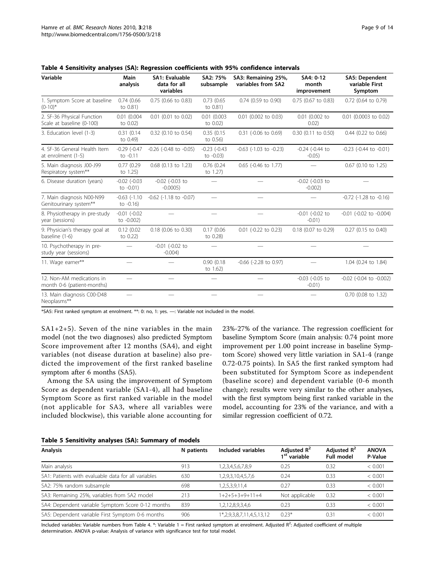| Variable                                                | <b>Main</b><br>analysis            | SA1: Evaluable<br>data for all<br>variables | SA2: 75%<br>subsample             | SA3: Remaining 25%,<br>variables from SA2 | SA4: 0-12<br>month<br>improvement | <b>SA5: Dependent</b><br>variable First<br>Symptom |
|---------------------------------------------------------|------------------------------------|---------------------------------------------|-----------------------------------|-------------------------------------------|-----------------------------------|----------------------------------------------------|
| 1. Symptom Score at baseline<br>$(0-10)*$               | 0.74(0.66)<br>to 0.81)             | 0.75 (0.66 to 0.83)                         | 0.73(0.65)<br>to 0.81)            | 0.74 (0.59 to 0.90)                       | 0.75 (0.67 to 0.83)               | 0.72 (0.64 to 0.79)                                |
| 2. SF-36 Physical Function<br>Scale at baseline (0-100) | 0.01(0.004)<br>to 0.02)            | 0.01 (0.01 to 0.02)                         | 0.01(0.003)<br>to 0.02)           | 0.01 (0.002 to 0.03)                      | 0.01 (0.002 to<br>0.02)           | 0.01 (0.0003 to 0.02)                              |
| 3. Education level (1-3)                                | 0.31(0.14)<br>to 0.49)             | 0.32 (0.10 to 0.54)                         | 0.35(0.15)<br>to 0.56)            | $0.31$ (-0.06 to 0.69)                    | 0.30 (0.11 to 0.50)               | 0.44 (0.22 to 0.66)                                |
| 4. SF-36 General Health Item<br>at enrolment (1-5)      | $-0.29$ $(-0.47)$<br>to -0.11      | $-0.26$ ( $-0.48$ to $-0.05$ )              | $-0.23$ $(-0.43)$<br>to $-0.03$ ) | $-0.63$ ( $-1.03$ to $-0.23$ )            | $-0.24$ $(-0.44$ to<br>$-0.05$ )  | $-0.23$ ( $-0.44$ to $-0.01$ )                     |
| 5. Main diagnosis J00-J99<br>Respiratory system**       | 0.77(0.29)<br>to 1.25)             | 0.68 (0.13 to 1.23)                         | 0.76(0.24)<br>to 1.27)            | 0.65 (-0.46 to 1.77)                      |                                   | 0.67 (0.10 to 1.25)                                |
| 6. Disease duration (years)                             | $-0.02$ $(-0.03)$<br>to $-0.01$ )  | $-0.02$ $(-0.03$ to<br>$-0.0005$ )          |                                   |                                           | $-0.02$ $(-0.03$ to<br>$-0.002$ ) |                                                    |
| 7. Main diagnosis N00-N99<br>Genitourinary system**     | $-0.63$ $(-1.10)$<br>to $-0.16$ )  | $-0.62$ ( $-1.18$ to $-0.07$ )              |                                   |                                           |                                   | $-0.72$ ( $-1.28$ to $-0.16$ )                     |
| 8. Physiotherapy in pre-study<br>year (sessions)        | $-0.01$ $(-0.02)$<br>to $-0.002$ ) |                                             |                                   |                                           | $-0.01$ $(-0.02$ to<br>$-0.01$ )  | $-0.01$ $(-0.02$ to $-0.004)$                      |
| 9. Physician's therapy goal at<br>baseline (1-6)        | 0.12(0.02)<br>to 0.22)             | 0.18 (0.06 to 0.30)                         | 0.17(0.06)<br>to 0.28)            | 0.01 (-0.22 to 0.23)                      | $0.18$ (0.07 to 0.29)             | $0.27$ (0.15 to 0.40)                              |
| 10. Psychotherapy in pre-<br>study year (sessions)      |                                    | $-0.01$ $(-0.02$ to<br>$-0.004$ )           |                                   |                                           |                                   |                                                    |
| 11. Wage earner**                                       |                                    |                                             | 0.90(0.18)<br>to $1.62$ )         | $-0.66$ ( $-2.28$ to 0.97)                |                                   | 1.04 (0.24 to 1.84)                                |
| 12. Non-AM medications in<br>month 0-6 (patient-months) |                                    |                                             |                                   |                                           | $-0.03$ $(-0.05$ to<br>$-0.01$ )  | $-0.02$ ( $-0.04$ to $-0.002$ )                    |
| 13. Main diagnosis C00-D48<br>Neoplasms**               |                                    |                                             |                                   |                                           |                                   | 0.70 (0.08 to 1.32)                                |

<span id="page-8-0"></span>Table 4 Sensitivity analyses (SA): Regression coefficients with 95% confidence intervals

\*SA5: First ranked symptom at enrolment. \*\*: 0: no, 1: yes. —: Variable not included in the model.

SA1+2+5). Seven of the nine variables in the main model (not the two diagnoses) also predicted Symptom Score improvement after 12 months (SA4), and eight variables (not disease duration at baseline) also predicted the improvement of the first ranked baseline symptom after 6 months (SA5).

Among the SA using the improvement of Symptom Score as dependent variable (SA1-4), all had baseline Symptom Score as first ranked variable in the model (not applicable for SA3, where all variables were included blockwise), this variable alone accounting for 23%-27% of the variance. The regression coefficient for baseline Symptom Score (main analysis: 0.74 point more improvement per 1.00 point increase in baseline Symptom Score) showed very little variation in SA1-4 (range 0.72-0.75 points). In SA5 the first ranked symptom had been substituted for Symptom Score as independent (baseline score) and dependent variable (0-6 month change); results were very similar to the other analyses, with the first symptom being first ranked variable in the model, accounting for 23% of the variance, and with a similar regression coefficient of 0.72.

|  | Table 5 Sensitivity analyses (SA): Summary of models |  |  |  |  |  |
|--|------------------------------------------------------|--|--|--|--|--|
|--|------------------------------------------------------|--|--|--|--|--|

| <b>Analysis</b>                                     | N patients | Included variables        | Adjusted $R^2$<br>1 <sup>st</sup> variable | Adjusted $R^2$<br><b>Full model</b> | <b>ANOVA</b><br>P-Value |
|-----------------------------------------------------|------------|---------------------------|--------------------------------------------|-------------------------------------|-------------------------|
| Main analysis                                       | 913        | 1,2,3,4,5,6,7,8,9         | 0.25                                       | 0.32                                | < 0.001                 |
| SA1: Patients with evaluable data for all variables | 630        | 1,2,9,3,10,4,5,7,6        | 0.24                                       | 0.33                                | < 0.001                 |
| SA2: 75% random subsample                           | 698        | 1,2,5,3,9,11,4            | 0.27                                       | 0.33                                | < 0.001                 |
| SA3: Remaining 25%, variables from SA2 model        | 213        | $1+2+5+3+9+11+4$          | Not applicable                             | 0.32                                | < 0.001                 |
| SA4: Dependent variable Symptom Score 0-12 months   | 839        | ,2,12,8,9,3,4,6           | 0.23                                       | 0.33                                | < 0.001                 |
| SA5: Dependent variable First Symptom 0-6 months    | 906        | 1*,2,9,3,8,7,11,4,5,13,12 | $0.23*$                                    | 0.31                                | < 0.001                 |

Included variables: Variable numbers from Table 4. \*: Variable 1 = First ranked symptom at enrolment. Adjusted R<sup>2</sup>: Adjusted coefficient of multiple determination. ANOVA p-value: Analysis of variance with significance test for total model.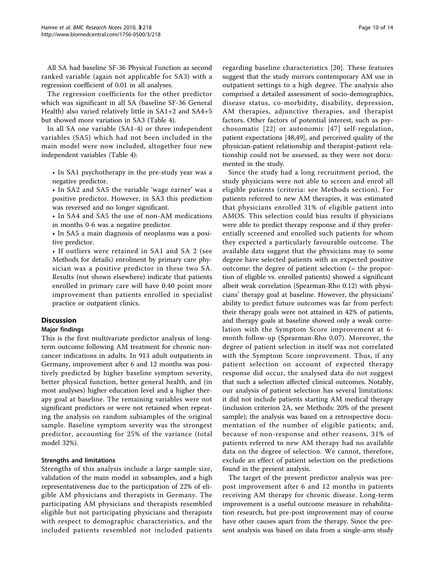All SA had baseline SF-36 Physical Function as second ranked variable (again not applicable for SA3) with a regression coefficient of 0.01 in all analyses.

The regression coefficients for the other predictor which was significant in all SA (baseline SF-36 General Health) also varied relatively little in SA1+2 and SA4+5 but showed more variation in SA3 (Table [4\)](#page-8-0).

In all SA one variable (SA1-4) or three independent variables (SA5) which had not been included in the main model were now included, altogether four new independent variables (Table [4](#page-8-0)):

• In SA1 psychotherapy in the pre-study year was a negative predictor.

• In SA2 and SA5 the variable 'wage earner' was a positive predictor. However, in SA3 this prediction was reversed and no longer significant.

• In SA4 and SA5 the use of non-AM medications in months 0-6 was a negative predictor.

• In SA5 a main diagnosis of neoplasms was a positive predictor.

• If outliers were retained in SA1 and SA 2 (see Methods for details) enrolment by primary care physician was a positive predictor in these two SA. Results (not shown elsewhere) indicate that patients enrolled in primary care will have 0.40 point more improvement than patients enrolled in specialist practice or outpatient clinics.

## **Discussion**

#### Major findings

This is the first multivariate predictor analysis of longterm outcome following AM treatment for chronic noncancer indications in adults. In 913 adult outpatients in Germany, improvement after 6 and 12 months was positively predicted by higher baseline symptom severity, better physical function, better general health, and (in most analyses) higher education level and a higher therapy goal at baseline. The remaining variables were not significant predictors or were not retained when repeating the analysis on random subsamples of the original sample. Baseline symptom severity was the strongest predictor, accounting for 25% of the variance (total model 32%).

## Strengths and limitations

Strengths of this analysis include a large sample size, validation of the main model in subsamples, and a high representativeness due to the participation of 22% of eligible AM physicians and therapists in Germany. The participating AM physicians and therapists resembled eligible but not participating physicians and therapists with respect to demographic characteristics, and the included patients resembled not included patients

regarding baseline characteristics [[20](#page-12-0)]. These features suggest that the study mirrors contemporary AM use in outpatient settings to a high degree. The analysis also comprised a detailed assessment of socio-demographics, disease status, co-morbidity, disability, depression, AM therapies, adjunctive therapies, and therapist factors. Other factors of potential interest, such as psychosomatic [[22](#page-12-0)] or autonomic [[47](#page-13-0)] self-regulation, patient expectations [\[48,49\]](#page-13-0), and perceived quality of the physician-patient relationship and therapist-patient relationship could not be assessed, as they were not documented in the study.

Since the study had a long recruitment period, the study physicians were not able to screen and enrol all eligible patients (criteria: see Methods section). For patients referred to new AM therapies, it was estimated that physicians enrolled 31% of eligible patient into AMOS. This selection could bias results if physicians were able to predict therapy response and if they preferentially screened and enrolled such patients for whom they expected a particularly favourable outcome. The available data suggest that the physicians may to some degree have selected patients with an expected positive outcome: the degree of patient selection (= the proportion of eligible vs. enrolled patients) showed a significant albeit weak correlation (Spearman-Rho 0.12) with physicians' therapy goal at baseline. However, the physicians' ability to predict future outcomes was far from perfect: their therapy goals were not attained in 42% of patients, and therapy goals at baseline showed only a weak correlation with the Symptom Score improvement at 6 month follow-up (Spearman-Rho 0.07). Moreover, the degree of patient selection in itself was not correlated with the Symptom Score improvement. Thus, if any patient selection on account of expected therapy response did occur, the analysed data do not suggest that such a selection affected clinical outcomes. Notably, our analysis of patient selection has several limitations: it did not include patients starting AM medical therapy (inclusion criterion 2A, see Methods: 20% of the present sample); the analysis was based on a retrospective documentation of the number of eligible patients; and, because of non-response and other reasons, 31% of patients referred to new AM therapy had no available data on the degree of selection. We cannot, therefore, exclude an effect of patient selection on the predictions found in the present analysis.

The target of the present predictor analysis was prepost improvement after 6 and 12 months in patients receiving AM therapy for chronic disease. Long-term improvement is a useful outcome measure in rehabilitation research, but pre-post improvement may of course have other causes apart from the therapy. Since the present analysis was based on data from a single-arm study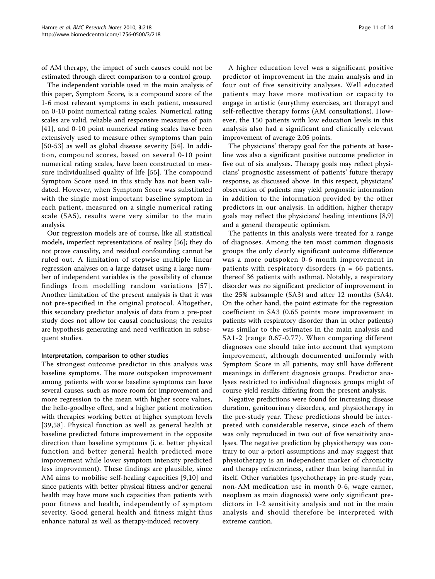of AM therapy, the impact of such causes could not be estimated through direct comparison to a control group.

The independent variable used in the main analysis of this paper, Symptom Score, is a compound score of the 1-6 most relevant symptoms in each patient, measured on 0-10 point numerical rating scales. Numerical rating scales are valid, reliable and responsive measures of pain [[41](#page-12-0)], and 0-10 point numerical rating scales have been extensively used to measure other symptoms than pain [[50](#page-13-0)-[53](#page-13-0)] as well as global disease severity [[54](#page-13-0)]. In addition, compound scores, based on several 0-10 point numerical rating scales, have been constructed to measure individualised quality of life [\[55\]](#page-13-0). The compound Symptom Score used in this study has not been validated. However, when Symptom Score was substituted with the single most important baseline symptom in each patient, measured on a single numerical rating scale (SA5), results were very similar to the main analysis.

Our regression models are of course, like all statistical models, imperfect representations of reality [\[56](#page-13-0)]; they do not prove causality, and residual confounding cannot be ruled out. A limitation of stepwise multiple linear regression analyses on a large dataset using a large number of independent variables is the possibility of chance findings from modelling random variations [[57\]](#page-13-0). Another limitation of the present analysis is that it was not pre-specified in the original protocol. Altogether, this secondary predictor analysis of data from a pre-post study does not allow for causal conclusions; the results are hypothesis generating and need verification in subsequent studies.

#### Interpretation, comparison to other studies

The strongest outcome predictor in this analysis was baseline symptoms. The more outspoken improvement among patients with worse baseline symptoms can have several causes, such as more room for improvement and more regression to the mean with higher score values, the hello-goodbye effect, and a higher patient motivation with therapies working better at higher symptom levels [[39,](#page-12-0)[58](#page-13-0)]. Physical function as well as general health at baseline predicted future improvement in the opposite direction than baseline symptoms (i. e. better physical function and better general health predicted more improvement while lower symptom intensity predicted less improvement). These findings are plausible, since AM aims to mobilise self-healing capacities [[9,10](#page-12-0)] and since patients with better physical fitness and/or general health may have more such capacities than patients with poor fitness and health, independently of symptom severity. Good general health and fitness might thus enhance natural as well as therapy-induced recovery.

A higher education level was a significant positive predictor of improvement in the main analysis and in four out of five sensitivity analyses. Well educated patients may have more motivation or capacity to engage in artistic (eurythmy exercises, art therapy) and self-reflective therapy forms (AM consultations). However, the 150 patients with low education levels in this analysis also had a significant and clinically relevant improvement of average 2.05 points.

The physicians' therapy goal for the patients at baseline was also a significant positive outcome predictor in five out of six analyses. Therapy goals may reflect physicians' prognostic assessment of patients' future therapy response, as discussed above. In this respect, physicians' observation of patients may yield prognostic information in addition to the information provided by the other predictors in our analysis. In addition, higher therapy goals may reflect the physicians' healing intentions [\[8,9](#page-12-0)] and a general therapeutic optimism.

The patients in this analysis were treated for a range of diagnoses. Among the ten most common diagnosis groups the only clearly significant outcome difference was a more outspoken 0-6 month improvement in patients with respiratory disorders ( $n = 66$  patients, thereof 36 patients with asthma). Notably, a respiratory disorder was no significant predictor of improvement in the 25% subsample (SA3) and after 12 months (SA4). On the other hand, the point estimate for the regression coefficient in SA3 (0.65 points more improvement in patients with respiratory disorder than in other patients) was similar to the estimates in the main analysis and SA1-2 (range 0.67-0.77). When comparing different diagnoses one should take into account that symptom improvement, although documented uniformly with Symptom Score in all patients, may still have different meanings in different diagnosis groups. Predictor analyses restricted to individual diagnosis groups might of course yield results differing from the present analysis.

Negative predictions were found for increasing disease duration, genitourinary disorders, and physiotherapy in the pre-study year. These predictions should be interpreted with considerable reserve, since each of them was only reproduced in two out of five sensitivity analyses. The negative prediction by physiotherapy was contrary to our a-priori assumptions and may suggest that physiotherapy is an independent marker of chronicity and therapy refractoriness, rather than being harmful in itself. Other variables (psychotherapy in pre-study year, non-AM medication use in month 0-6, wage earner, neoplasm as main diagnosis) were only significant predictors in 1-2 sensitivity analysis and not in the main analysis and should therefore be interpreted with extreme caution.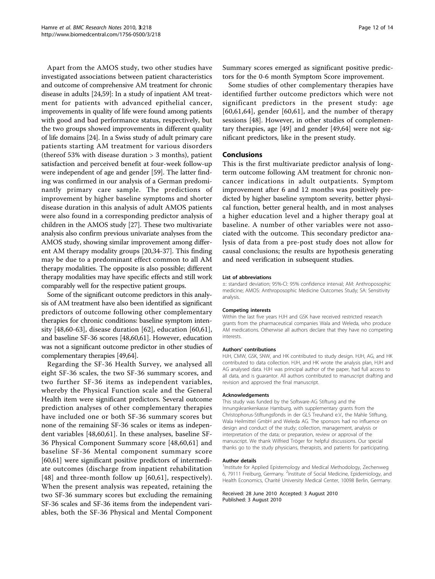Apart from the AMOS study, two other studies have investigated associations between patient characteristics and outcome of comprehensive AM treatment for chronic disease in adults [\[24,](#page-12-0)[59\]](#page-13-0): In a study of inpatient AM treatment for patients with advanced epithelial cancer, improvements in quality of life were found among patients with good and bad performance status, respectively, but the two groups showed improvements in different quality of life domains [[24](#page-12-0)]. In a Swiss study of adult primary care patients starting AM treatment for various disorders (thereof 53% with disease duration > 3 months), patient satisfaction and perceived benefit at four-week follow-up were independent of age and gender [\[59\]](#page-13-0). The latter finding was confirmed in our analysis of a German predominantly primary care sample. The predictions of improvement by higher baseline symptoms and shorter disease duration in this analysis of adult AMOS patients were also found in a corresponding predictor analysis of children in the AMOS study [[27\]](#page-12-0). These two multivariate analysis also confirm previous univariate analyses from the AMOS study, showing similar improvement among different AM therapy modality groups [\[20,34](#page-12-0)-[37](#page-12-0)]. This finding may be due to a predominant effect common to all AM therapy modalities. The opposite is also possible; different therapy modalities may have specific effects and still work comparably well for the respective patient groups.

Some of the significant outcome predictors in this analysis of AM treatment have also been identified as significant predictors of outcome following other complementary therapies for chronic conditions: baseline symptom intensity [\[48](#page-13-0),[60-63\]](#page-13-0), disease duration [[62\]](#page-13-0), education [[60,61](#page-13-0)], and baseline SF-36 scores [\[48,60,61](#page-13-0)]. However, education was not a significant outcome predictor in other studies of complementary therapies [\[49,64](#page-13-0)].

Regarding the SF-36 Health Survey, we analysed all eight SF-36 scales, the two SF-36 summary scores, and two further SF-36 items as independent variables, whereby the Physical Function scale and the General Health item were significant predictors. Several outcome prediction analyses of other complementary therapies have included one or both SF-36 summary scores but none of the remaining SF-36 scales or items as independent variables [[48,60,61](#page-13-0)]. In these analyses, baseline SF-36 Physical Component Summary score [[48,60,61](#page-13-0)] and baseline SF-36 Mental component summary score [[60,61\]](#page-13-0) were significant positive predictors of intermediate outcomes (discharge from inpatient rehabilitation [[48](#page-13-0)] and three-month follow up [\[60,61](#page-13-0)], respectively). When the present analysis was repeated, retaining the two SF-36 summary scores but excluding the remaining SF-36 scales and SF-36 items from the independent variables, both the SF-36 Physical and Mental Component Summary scores emerged as significant positive predictors for the 0-6 month Symptom Score improvement.

Some studies of other complementary therapies have identified further outcome predictors which were not significant predictors in the present study: age  $[60,61,64]$  $[60,61,64]$  $[60,61,64]$  $[60,61,64]$ , gender  $[60,61]$  $[60,61]$  $[60,61]$ , and the number of therapy sessions [[48\]](#page-13-0). However, in other studies of complementary therapies, age [\[49](#page-13-0)] and gender [[49,64\]](#page-13-0) were not significant predictors, like in the present study.

#### Conclusions

This is the first multivariate predictor analysis of longterm outcome following AM treatment for chronic noncancer indications in adult outpatients. Symptom improvement after 6 and 12 months was positively predicted by higher baseline symptom severity, better physical function, better general health, and in most analyses a higher education level and a higher therapy goal at baseline. A number of other variables were not associated with the outcome. This secondary predictor analysis of data from a pre-post study does not allow for causal conclusions; the results are hypothesis generating and need verification in subsequent studies.

#### List of abbreviations

±: standard deviation; 95%-CI: 95% confidence interval; AM: Anthroposophic medicine; AMOS: Anthroposophic Medicine Outcomes Study; SA: Sensitivity analysis.

#### Competing interests

Within the last five years HJH and GSK have received restricted research grants from the pharmaceutical companies Wala and Weleda, who produce AM medications. Otherwise all authors declare that they have no competing interests.

#### Authors' contributions

HJH, CMW, GSK, SNW, and HK contributed to study design. HJH, AG, and HK contributed to data collection. HJH, and HK wrote the analysis plan, HJH and AG analysed data. HJH was principal author of the paper, had full access to all data, and is guarantor. All authors contributed to manuscript drafting and revision and approved the final manuscript.

#### Acknowledgements

This study was funded by the Software-AG Stiftung and the Innungskrankenkasse Hamburg, with supplementary grants from the Christophorus-Stiftungsfonds in der GLS Treuhand e.V., the Mahle Stiftung, Wala Heilmittel GmbH and Weleda AG. The sponsors had no influence on design and conduct of the study; collection, management, analysis or interpretation of the data; or preparation, review or approval of the manuscript. We thank Wilfried Tröger for helpful discussions. Our special thanks go to the study physicians, therapists, and patients for participating.

#### Author details

<sup>1</sup>Institute for Applied Epistemology and Medical Methodology, Zechenweg 6, 79111 Freiburg, Germany. <sup>2</sup>Institute of Social Medicine, Epidemiology, and Health Economics, Charité University Medical Center, 10098 Berlin, Germany.

Received: 28 June 2010 Accepted: 3 August 2010 Published: 3 August 2010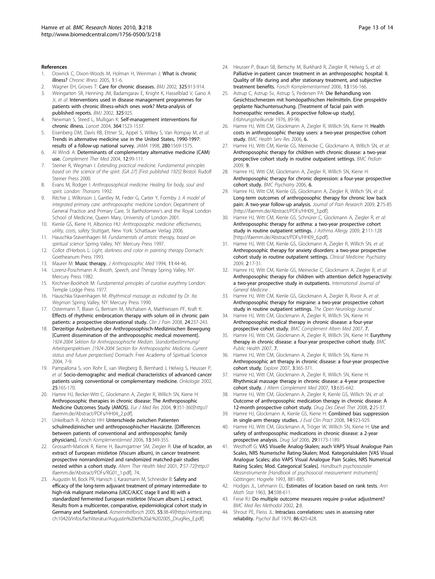#### <span id="page-12-0"></span>References

- 1. Dowrick C, Dixon-Woods M, Holman H, Weinman J: [What is chronic](http://www.ncbi.nlm.nih.gov/pubmed/17136923?dopt=Abstract) [illness?](http://www.ncbi.nlm.nih.gov/pubmed/17136923?dopt=Abstract) Chronic Illness 2005, 1:1-6.
- Wagner EH, Groves T: [Care for chronic diseases.](http://www.ncbi.nlm.nih.gov/pubmed/12399321?dopt=Abstract) BMJ 2002, 325:913-914.
- 3. Weingarten SR, Henning JM, Badamgarav E, Knight K, Hasselblad V, Gano A Jr, et al: [Interventions used in disease management programmes for](http://www.ncbi.nlm.nih.gov/pubmed/12399340?dopt=Abstract) [patients with chronic illness-which ones work? Meta-analysis of](http://www.ncbi.nlm.nih.gov/pubmed/12399340?dopt=Abstract) [published reports.](http://www.ncbi.nlm.nih.gov/pubmed/12399340?dopt=Abstract) BMJ 2002, 325:925.
- Newman S, Steed L, Mulligan K: [Self-management interventions for](http://www.ncbi.nlm.nih.gov/pubmed/15500899?dopt=Abstract) [chronic illness.](http://www.ncbi.nlm.nih.gov/pubmed/15500899?dopt=Abstract) Lancet 2004, 364:1523-1537.
- 5. Eisenberg DM, Davis RB, Ettner SL, Appel S, Wilkey S, Van Rompay M, et al: [Trends in alternative medicine use in the United States, 1990-1997:](http://www.ncbi.nlm.nih.gov/pubmed/9820257?dopt=Abstract) [results of a follow-up national survey.](http://www.ncbi.nlm.nih.gov/pubmed/9820257?dopt=Abstract) JAMA 1998, 280:1569-1575.
- 6. Al Windi A: [Determinants of complementary alternative medicine \(CAM\)](http://www.ncbi.nlm.nih.gov/pubmed/15561519?dopt=Abstract) [use.](http://www.ncbi.nlm.nih.gov/pubmed/15561519?dopt=Abstract) Complement Ther Med 2004, 12:99-111.
- 7. Steiner R, Wegman I: Extending practical medicine. Fundamental principles based on the science of the spirit. [GA 27] [First published 1925] Bristol: Rudolf Steiner Press 2000.
- 8. Evans M, Rodger I: Anthroposophical medicine: Healing for body, soul and spirit. London: Thorsons 1992.
- 9. Ritchie J, Wilkinson J, Gantley M, Feder G, Carter Y, Formby J: A model of integrated primary care: anthroposophic medicine London: Department of General Practice and Primary Care, St Bartholomew's and the Royal London School of Medicine, Queen Mary, University of London 2001.
- 10. Kienle GS, Kiene H, Albonico HU: Anthroposophic medicine: effectiveness, utility, costs, safety Stuttgart, New York: Schattauer Verlag 2006.
- 11. Hauschka-Stavenhagen M: Fundamentals of artistic therapy, based on spiritual science Spring Valley, NY: Mercury Press 1997.
- 12. Collot d'Herbois L: Light, darkness and color in painting therapy Dornach: Goetheanum Press 1993.
- 13. Maurer M: Music therapy. J Anthroposophic Med 1994, 11:44-46.
- 14. Lorenz-Poschmann A: Breath, Speech, and Therapy Spring Valley, NY: Mercury Press 1982.
- 15. Kirchner-Bockholt M: Fundamental principles of curative eurythmy London: Temple Lodge Press 1977.
- 16. Hauschka-Stavenhagen M: Rhythmical massage as indicated by Dr. Ita Wegman Spring Valley, NY: Mercury Press 1990.
- 17. Ostermann T, Blaser G, Bertram M, Michalsen A, Matthiessen PF, Kraft K: [Effects of rhythmic embrocation therapy with solum oil in chronic pain](http://www.ncbi.nlm.nih.gov/pubmed/18287830?dopt=Abstract) [patients: a prospective observational study.](http://www.ncbi.nlm.nih.gov/pubmed/18287830?dopt=Abstract) Clin J Pain 2008, 24:237-243.
- 18. Derzeitige Ausbreitung der Anthroposophisch-Medizinischen Bewegung [Current dissemination of the anthroposophic medical movement]. 1924-2004 Sektion für Anthroposophische Medizin. Standortbestimmung/ Arbeitsperspektiven. [1924-2004 Section for Anthroposophic Medicine. Current status and future perspectives] Dornach: Free Academy of Spiritual Science 2004, 7-9.
- 19. Pampallona S, von Rohr E, van Wegberg B, Bernhard J, Helwig S, Heusser P, et al: [Socio-demographic and medical characteristics of advanced cancer](http://www.ncbi.nlm.nih.gov/pubmed/12006768?dopt=Abstract) [patients using conventional or complementary medicine.](http://www.ncbi.nlm.nih.gov/pubmed/12006768?dopt=Abstract) Onkologie 2002, 25:165-170.
- 20. Hamre HJ, Becker-Witt C, Glockmann A, Ziegler R, Willich SN, Kiene H: [Anthroposophic therapies in chronic disease: The Anthroposophic](http://www.ncbi.nlm.nih.gov/pubmed/15337636?dopt=Abstract) [Medicine Outcomes Study \(AMOS\).](http://www.ncbi.nlm.nih.gov/pubmed/15337636?dopt=Abstract) Eur J Med Res 2004, 9:351-360[[http://](http://ifaemm.de/Abstract/PDFs/HH04_2.pdf) [ifaemm.de/Abstract/PDFs/HH04\\_2.pdf](http://ifaemm.de/Abstract/PDFs/HH04_2.pdf)].
- 21. Unkelbach R, Abholz HH: Unterschiede zwischen Patienten schulmedizinischer und anthroposophischer Hausärzte. [Differences between patients of conventional and anthroposophic family physicians]. Forsch Komplementärmed 2006, 13:349-355.
- 22. Grossarth-Maticek R, Kiene H, Baumgartner SM, Ziegler R: [Use of Iscador, an](http://www.ncbi.nlm.nih.gov/pubmed/11347286?dopt=Abstract) [extract of European mistletoe \(Viscum album\), in cancer treatment:](http://www.ncbi.nlm.nih.gov/pubmed/11347286?dopt=Abstract) [prospective nonrandomized and randomized matched-pair studies](http://www.ncbi.nlm.nih.gov/pubmed/11347286?dopt=Abstract) [nested within a cohort study.](http://www.ncbi.nlm.nih.gov/pubmed/11347286?dopt=Abstract) Altern Ther Health Med 2001, 7:57-72[[http://](http://ifaemm.de/Abstract/PDFs/RG01_1.pdf) [ifaemm.de/Abstract/PDFs/RG01\\_1.pdf](http://ifaemm.de/Abstract/PDFs/RG01_1.pdf)], 74..
- 23. Augustin M, Bock PR, Hanisch J, Karasmann M, Schneider B: [Safety and](http://www.ncbi.nlm.nih.gov/pubmed/15727163?dopt=Abstract) [efficacy of the long-term adjuvant treatment of primary intermediate- to](http://www.ncbi.nlm.nih.gov/pubmed/15727163?dopt=Abstract) [high-risk malignant melanoma \(UICC/AJCC stage II and III\) with a](http://www.ncbi.nlm.nih.gov/pubmed/15727163?dopt=Abstract) [standardized fermented European mistletoe \(Viscum album L.\) extract.](http://www.ncbi.nlm.nih.gov/pubmed/15727163?dopt=Abstract) [Results from a multicenter, comparative, epidemiological cohort study in](http://www.ncbi.nlm.nih.gov/pubmed/15727163?dopt=Abstract) [Germany and Switzerland.](http://www.ncbi.nlm.nih.gov/pubmed/15727163?dopt=Abstract) Arzneimittelforsch 2005, 55:38-49[[http://virttest.imp.](http://virttest.imp.ch:10420/infos/fachliteratur/Augustin%20et%20al.%202005_DrugRes_E.pdf) [ch:10420/infos/fachliteratur/Augustin%20et%20al.%202005\\_DrugRes\\_E.pdf](http://virttest.imp.ch:10420/infos/fachliteratur/Augustin%20et%20al.%202005_DrugRes_E.pdf)].
- 24. Heusser P, Braun SB, Bertschy M, Burkhard R, Ziegler R, Helwig S, et al: Palliative in-patient cancer treatment in an anthroposophic hospital: II. Quality of life during and after stationary treatment, and subjective treatment benefits. Forsch Komplementarmed 2006, 13:156-166.
- 25. Astrup C, Astrup Sv, Astrup S, Pedersen PA: Die Behandlung von Gesichtsschmerzen mit homöopathischen Heilmitteln. Eine prospektiv geplante Nachuntersuchung. [Treatment of facial pain with homeopathic remedies. A prospective follow-up study]. Erfahrungsheilkunde 1976, 89-96.
- 26. Hamre HJ, Witt CM, Glockmann A, Ziegler R, Willich SN, Kiene H: [Health](http://www.ncbi.nlm.nih.gov/pubmed/16749921?dopt=Abstract) [costs in anthroposophic therapy users: a two-year prospective cohort](http://www.ncbi.nlm.nih.gov/pubmed/16749921?dopt=Abstract) [study.](http://www.ncbi.nlm.nih.gov/pubmed/16749921?dopt=Abstract) BMC Health Serv Res 2006, 6.
- 27. Hamre HJ, Witt CM, Kienle GS, Meinecke C, Glockmann A, Willich SN, et al: [Anthroposophic therapy for children with chronic disease: a two-year](http://www.ncbi.nlm.nih.gov/pubmed/19545358?dopt=Abstract) [prospective cohort study in routine outpatient settings.](http://www.ncbi.nlm.nih.gov/pubmed/19545358?dopt=Abstract) BMC Pediatr 2009, 9.
- 28. Hamre HJ, Witt CM, Glockmann A, Ziegler R, Willich SN, Kiene H: [Anthroposophic therapy for chronic depression: a four-year prospective](http://www.ncbi.nlm.nih.gov/pubmed/17173663?dopt=Abstract) [cohort study.](http://www.ncbi.nlm.nih.gov/pubmed/17173663?dopt=Abstract) BMC Psychiatry 2006, 6.
- 29. Hamre HJ, Witt CM, Kienle GS, Glockmann A, Ziegler R, Willich SN, et al: Long-term outcomes of anthroposophic therapy for chronic low back pain: A two-year follow-up analysis. Journal of Pain Research 2009, 2:75-85 [[http://ifaemm.de/Abstract/PDFs/HH09\\_3.pdf](http://ifaemm.de/Abstract/PDFs/HH09_3.pdf)].
- 30. Hamre HJ, Witt CM, Kienle GS, Schnürer C, Glockmann A, Ziegler R, et al: Anthroposophic therapy for asthma: a two-year prospective cohort study in routine outpatient settings. J Asthma Allergy 2009, 2:111-128 [[http://ifaemm.de/Abstract/PDFs/HH09\\_6.pdf](http://ifaemm.de/Abstract/PDFs/HH09_6.pdf)].
- 31. Hamre HJ, Witt CM, Kienle GS, Glockmann A, Ziegler R, Willich SN, et al: Anthroposophic therapy for anxiety disorders: a two-year prospective cohort study in routine outpatient settings. Clinical Medicine: Psychiatry 2009, 2:17-31.
- 32. Hamre HJ, Witt CM, Kienle GS, Meinecke C, Glockmann A, Ziegler R, et al: Anthroposophic therapy for children with attention deficit hyperactivity: a two-year prospective study in outpatients. International Journal of General Medicine .
- 33. Hamre HJ, Witt CM, Kienle GS, Glockmann A, Ziegler R, Rivoir A, et al: Anthroposophic therapy for migraine: a two-year prospective cohort study in routine outpatient settings. The Open Neurology Journal.
- 34. Hamre HJ, Witt CM, Glockmann A, Ziegler R, Willich SN, Kiene H: [Anthroposophic medical therapy in chronic disease: a four-year](http://www.ncbi.nlm.nih.gov/pubmed/17451595?dopt=Abstract) [prospective cohort study.](http://www.ncbi.nlm.nih.gov/pubmed/17451595?dopt=Abstract) BMC Complement Altern Med 2007, 7.
- 35. Hamre HJ, Witt CM, Glockmann A, Ziegler R, Willich SN, Kiene H: [Eurythmy](http://www.ncbi.nlm.nih.gov/pubmed/17451596?dopt=Abstract) [therapy in chronic disease: a four-year prospective cohort study.](http://www.ncbi.nlm.nih.gov/pubmed/17451596?dopt=Abstract) BMC Public Health 2007, 7.
- 36. Hamre HJ, Witt CM, Glockmann A, Ziegler R, Willich SN, Kiene H: [Anthroposophic art therapy in chronic disease: a four-year prospective](http://www.ncbi.nlm.nih.gov/pubmed/17681256?dopt=Abstract) [cohort study.](http://www.ncbi.nlm.nih.gov/pubmed/17681256?dopt=Abstract) Explore 2007, 3:365-371.
- 37. Hamre HJ, Witt CM, Glockmann A, Ziegler R, Willich SN, Kiene H: [Rhythmical massage therapy in chronic disease: a 4-year prospective](http://www.ncbi.nlm.nih.gov/pubmed/17718646?dopt=Abstract) [cohort study.](http://www.ncbi.nlm.nih.gov/pubmed/17718646?dopt=Abstract) J Altern Complement Med 2007, 13:635-642.
- 38. Hamre HJ, Witt CM, Glockmann A, Ziegler R, Kienle GS, Willich SN, et al: Outcome of anthroposophic medication therapy in chronic disease: A 12-month prospective cohort study. Drug Des Devel Ther 2008, 2:25-37.
- 39. Hamre HJ, Glockmann A, Kienle GS, Kiene H: [Combined bias suppression](http://www.ncbi.nlm.nih.gov/pubmed/18373566?dopt=Abstract) [in single-arm therapy studies.](http://www.ncbi.nlm.nih.gov/pubmed/18373566?dopt=Abstract) J Eval Clin Pract 2008, 14:923-929.
- 40. Hamre HJ, Witt CM, Glockmann A, Tröger W, Willich SN, Kiene H: [Use and](http://www.ncbi.nlm.nih.gov/pubmed/17147463?dopt=Abstract) [safety of anthroposophic medications in chronic disease: a 2-year](http://www.ncbi.nlm.nih.gov/pubmed/17147463?dopt=Abstract) [prospective analysis.](http://www.ncbi.nlm.nih.gov/pubmed/17147463?dopt=Abstract) Drug Saf 2006, 29:1173-1189.
- 41. Westhoff G: VAS Visuelle Analog-Skalen; auch VAPS Visual Analogue Pain Scales, NRS Numerische Rating-Skalen; Mod. Kategorialskalen [VAS Visual Analogue Scales; also VAPS Visual Analogue Pain Scales, NRS Numerical Rating Scales; Mod. Categorical Scales]. Handbuch psychosozialer Messinstrumente [Handbook of psychosocial measurement instruments] Göttingen: Hogrefe 1993, 881-885.
- 42. Hodges JL, Lehmann EL: Estimates of location based on rank tests. Ann Math Stat 1963, 34:598-611.
- 43. Feise RJ: [Do multiple outcome measures require p-value adjustment?](http://www.ncbi.nlm.nih.gov/pubmed/12069695?dopt=Abstract) BMC Med Res Methodol 2002, 2:8.
- 44. Shrout PE, Fleiss JL: [Intraclass correlations: uses in assessing rater](http://www.ncbi.nlm.nih.gov/pubmed/18839484?dopt=Abstract) [reliability.](http://www.ncbi.nlm.nih.gov/pubmed/18839484?dopt=Abstract) Psychol Bull 1979, 86:420-428.